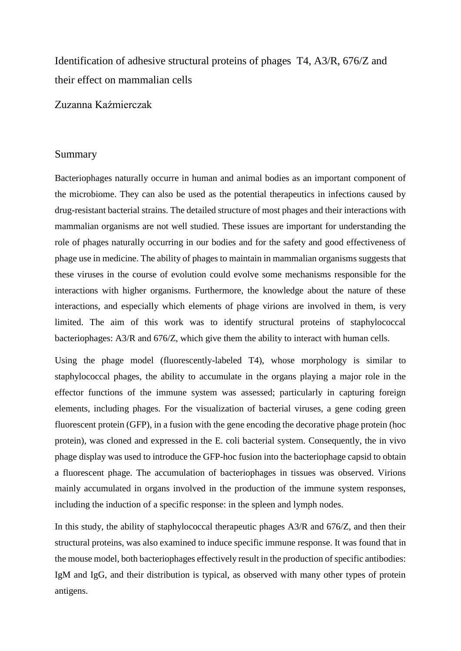Identification of adhesive structural proteins of phages T4, A3/R, 676/Z and their effect on mammalian cells

Zuzanna Kaźmierczak

## Summary

Bacteriophages naturally occurre in human and animal bodies as an important component of the microbiome. They can also be used as the potential therapeutics in infections caused by drug-resistant bacterial strains. The detailed structure of most phages and their interactions with mammalian organisms are not well studied. These issues are important for understanding the role of phages naturally occurring in our bodies and for the safety and good effectiveness of phage use in medicine. The ability of phages to maintain in mammalian organisms suggests that these viruses in the course of evolution could evolve some mechanisms responsible for the interactions with higher organisms. Furthermore, the knowledge about the nature of these interactions, and especially which elements of phage virions are involved in them, is very limited. The aim of this work was to identify structural proteins of staphylococcal bacteriophages: A3/R and 676/Z, which give them the ability to interact with human cells.

Using the phage model (fluorescently-labeled T4), whose morphology is similar to staphylococcal phages, the ability to accumulate in the organs playing a major role in the effector functions of the immune system was assessed; particularly in capturing foreign elements, including phages. For the visualization of bacterial viruses, a gene coding green fluorescent protein (GFP), in a fusion with the gene encoding the decorative phage protein (hoc protein), was cloned and expressed in the E. coli bacterial system. Consequently, the in vivo phage display was used to introduce the GFP-hoc fusion into the bacteriophage capsid to obtain a fluorescent phage. The accumulation of bacteriophages in tissues was observed. Virions mainly accumulated in organs involved in the production of the immune system responses, including the induction of a specific response: in the spleen and lymph nodes.

In this study, the ability of staphylococcal therapeutic phages A3/R and 676/Z, and then their structural proteins, was also examined to induce specific immune response. It was found that in the mouse model, both bacteriophages effectively result in the production of specific antibodies: IgM and IgG, and their distribution is typical, as observed with many other types of protein antigens.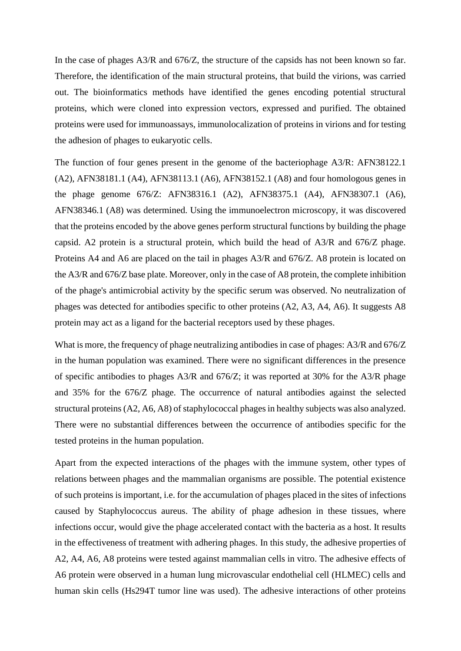In the case of phages A3/R and 676/Z, the structure of the capsids has not been known so far. Therefore, the identification of the main structural proteins, that build the virions, was carried out. The bioinformatics methods have identified the genes encoding potential structural proteins, which were cloned into expression vectors, expressed and purified. The obtained proteins were used for immunoassays, immunolocalization of proteins in virions and for testing the adhesion of phages to eukaryotic cells.

The function of four genes present in the genome of the bacteriophage A3/R: AFN38122.1 (A2), AFN38181.1 (A4), AFN38113.1 (A6), AFN38152.1 (A8) and four homologous genes in the phage genome 676/Z: AFN38316.1 (A2), AFN38375.1 (A4), AFN38307.1 (A6), AFN38346.1 (A8) was determined. Using the immunoelectron microscopy, it was discovered that the proteins encoded by the above genes perform structural functions by building the phage capsid. A2 protein is a structural protein, which build the head of A3/R and 676/Z phage. Proteins A4 and A6 are placed on the tail in phages A3/R and 676/Z. A8 protein is located on the A3/R and 676/Z base plate. Moreover, only in the case of A8 protein, the complete inhibition of the phage's antimicrobial activity by the specific serum was observed. No neutralization of phages was detected for antibodies specific to other proteins (A2, A3, A4, A6). It suggests A8 protein may act as a ligand for the bacterial receptors used by these phages.

What is more, the frequency of phage neutralizing antibodies in case of phages: A3/R and 676/Z in the human population was examined. There were no significant differences in the presence of specific antibodies to phages A3/R and 676/Z; it was reported at 30% for the A3/R phage and 35% for the 676/Z phage. The occurrence of natural antibodies against the selected structural proteins (A2, A6, A8) of staphylococcal phages in healthy subjects was also analyzed. There were no substantial differences between the occurrence of antibodies specific for the tested proteins in the human population.

Apart from the expected interactions of the phages with the immune system, other types of relations between phages and the mammalian organisms are possible. The potential existence of such proteins is important, i.e. for the accumulation of phages placed in the sites of infections caused by Staphylococcus aureus. The ability of phage adhesion in these tissues, where infections occur, would give the phage accelerated contact with the bacteria as a host. It results in the effectiveness of treatment with adhering phages. In this study, the adhesive properties of A2, A4, A6, A8 proteins were tested against mammalian cells in vitro. The adhesive effects of A6 protein were observed in a human lung microvascular endothelial cell (HLMEC) cells and human skin cells (Hs294T tumor line was used). The adhesive interactions of other proteins